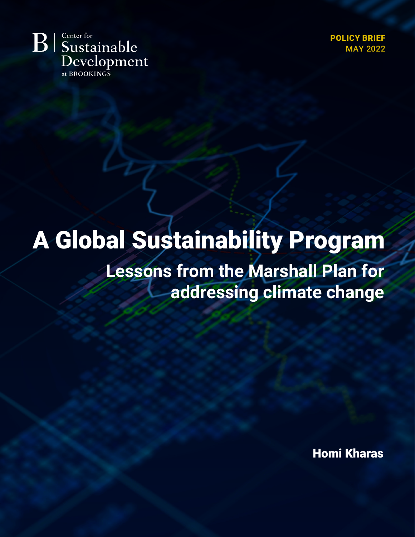Center for  $B$ Sustainable Development at BROOKINGS

POLICY BRIEF MAY 2022

# A Global Sustainability Program **Lessons from the Marshall Plan for**

**addressing climate change**

Homi Kharas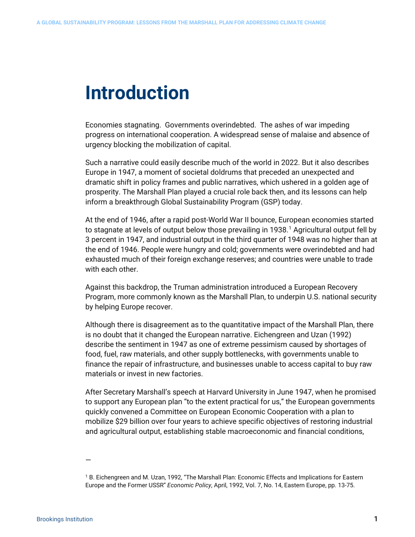# **Introduction**

Economies stagnating. Governments overindebted. The ashes of war impeding progress on international cooperation. A widespread sense of malaise and absence of urgency blocking the mobilization of capital.

Such a narrative could easily describe much of the world in 2022. But it also describes Europe in 1947, a moment of societal doldrums that preceded an unexpected and dramatic shift in policy frames and public narratives, which ushered in a golden age of prosperity. The Marshall Plan played a crucial role back then, and its lessons can help inform a breakthrough Global Sustainability Program (GSP) today.

At the end of 1946, after a rapid post-World War II bounce, European economies started to stagnate at levels of output below those prevailing in [1](#page-1-0)938.<sup>1</sup> Agricultural output fell by 3 percent in 1947, and industrial output in the third quarter of 1948 was no higher than at the end of 1946. People were hungry and cold; governments were overindebted and had exhausted much of their foreign exchange reserves; and countries were unable to trade with each other.

Against this backdrop, the Truman administration introduced a European Recovery Program, more commonly known as the Marshall Plan, to underpin U.S. national security by helping Europe recover.

Although there is disagreement as to the quantitative impact of the Marshall Plan, there is no doubt that it changed the European narrative. Eichengreen and Uzan (1992) describe the sentiment in 1947 as one of extreme pessimism caused by shortages of food, fuel, raw materials, and other supply bottlenecks, with governments unable to finance the repair of infrastructure, and businesses unable to access capital to buy raw materials or invest in new factories.

After Secretary Marshall's speech at Harvard University in June 1947, when he promised to support any European plan "to the extent practical for us," the European governments quickly convened a Committee on European Economic Cooperation with a plan to mobilize \$29 billion over four years to achieve specific objectives of restoring industrial and agricultural output, establishing stable macroeconomic and financial conditions,

<span id="page-1-0"></span><sup>1</sup> B. Eichengreen and M. Uzan, 1992, "The Marshall Plan: Economic Effects and Implications for Eastern Europe and the Former USSR" *Economic Policy*, April, 1992, Vol. 7, No. 14, Eastern Europe, pp. 13-75.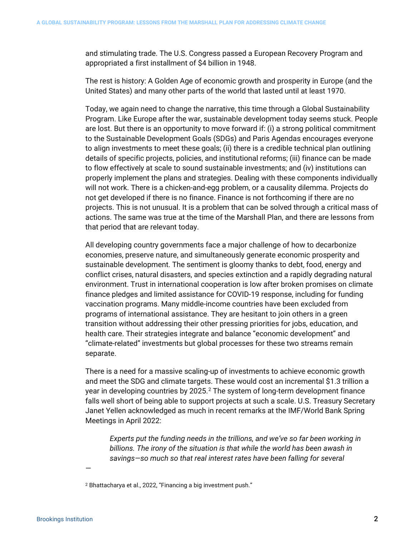and stimulating trade. The U.S. Congress passed a European Recovery Program and appropriated a first installment of \$4 billion in 1948.

The rest is history: A Golden Age of economic growth and prosperity in Europe (and the United States) and many other parts of the world that lasted until at least 1970.

Today, we again need to change the narrative, this time through a Global Sustainability Program. Like Europe after the war, sustainable development today seems stuck. People are lost. But there is an opportunity to move forward if: (i) a strong political commitment to the Sustainable Development Goals (SDGs) and Paris Agendas encourages everyone to align investments to meet these goals; (ii) there is a credible technical plan outlining details of specific projects, policies, and institutional reforms; (iii) finance can be made to flow effectively at scale to sound sustainable investments; and (iv) institutions can properly implement the plans and strategies. Dealing with these components individually will not work. There is a chicken-and-egg problem, or a causality dilemma. Projects do not get developed if there is no finance. Finance is not forthcoming if there are no projects. This is not unusual. It is a problem that can be solved through a critical mass of actions. The same was true at the time of the Marshall Plan, and there are lessons from that period that are relevant today.

All developing country governments face a major challenge of how to decarbonize economies, preserve nature, and simultaneously generate economic prosperity and sustainable development. The sentiment is gloomy thanks to debt, food, energy and conflict crises, natural disasters, and species extinction and a rapidly degrading natural environment. Trust in international cooperation is low after broken promises on climate finance pledges and limited assistance for COVID-19 response, including for funding vaccination programs. Many middle-income countries have been excluded from programs of international assistance. They are hesitant to join others in a green transition without addressing their other pressing priorities for jobs, education, and health care. Their strategies integrate and balance "economic development" and "climate-related" investments but global processes for these two streams remain separate.

There is a need for a massive scaling-up of investments to achieve economic growth and meet the SDG and climate targets. These would cost an incremental \$1.3 trillion a year in developing countries by  $2025<sup>2</sup>$  $2025<sup>2</sup>$  The system of long-term development finance falls well short of being able to support projects at such a scale. U.S. Treasury Secretary Janet Yellen acknowledged as much in recent remarks at the IMF/World Bank Spring Meetings in April 2022:

*Experts put the funding needs in the trillions, and we've so far been working in billions. The irony of the situation is that while the world has been awash in savings—so much so that real interest rates have been falling for several* 

<span id="page-2-0"></span><sup>2</sup> Bhattacharya et al., 2022, "Financing a big investment push."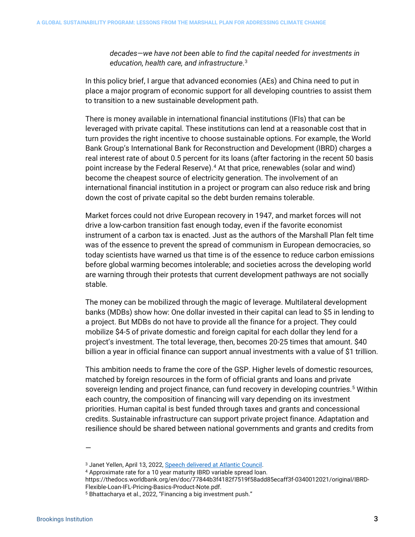*decades—we have not been able to find the capital needed for investments in education, health care, and infrastructure*. [3](#page-3-0)

In this policy brief, I argue that advanced economies (AEs) and China need to put in place a major program of economic support for all developing countries to assist them to transition to a new sustainable development path.

There is money available in international financial institutions (IFIs) that can be leveraged with private capital. These institutions can lend at a reasonable cost that in turn provides the right incentive to choose sustainable options. For example, the World Bank Group's International Bank for Reconstruction and Development (IBRD) charges a real interest rate of about 0.5 percent for its loans (after factoring in the recent 50 basis point increase by the Federal Reserve).<sup>[4](#page-3-1)</sup> At that price, renewables (solar and wind) become the cheapest source of electricity generation. The involvement of an international financial institution in a project or program can also reduce risk and bring down the cost of private capital so the debt burden remains tolerable.

Market forces could not drive European recovery in 1947, and market forces will not drive a low-carbon transition fast enough today, even if the favorite economist instrument of a carbon tax is enacted. Just as the authors of the Marshall Plan felt time was of the essence to prevent the spread of communism in European democracies, so today scientists have warned us that time is of the essence to reduce carbon emissions before global warming becomes intolerable; and societies across the developing world are warning through their protests that current development pathways are not socially stable.

The money can be mobilized through the magic of leverage. Multilateral development banks (MDBs) show how: One dollar invested in their capital can lead to \$5 in lending to a project. But MDBs do not have to provide all the finance for a project. They could mobilize \$4-5 of private domestic and foreign capital for each dollar they lend for a project's investment. The total leverage, then, becomes 20-25 times that amount. \$40 billion a year in official finance can support annual investments with a value of \$1 trillion.

This ambition needs to frame the core of the GSP. Higher levels of domestic resources, matched by foreign resources in the form of official grants and loans and private sovereign lending and project finance, can fund recovery in developing countries.<sup>[5](#page-3-2)</sup> Within each country, the composition of financing will vary depending on its investment priorities. Human capital is best funded through taxes and grants and concessional credits. Sustainable infrastructure can support private project finance. Adaptation and resilience should be shared between national governments and grants and credits from

—

<span id="page-3-0"></span><sup>3</sup> Janet Yellen, April 13, 2022[, Speech delivered at Atlantic Council.](https://www.atlanticcouncil.org/news/transcripts/transcript-us-treasury-secretary-janet-yellen-on-the-next-steps-for-russia-sanctions-and-friend-shoring-supply-chains/)

<sup>4</sup> Approximate rate for a 10 year maturity IBRD variable spread loan.

<span id="page-3-1"></span>https://thedocs.worldbank.org/en/doc/77844b3f4182f7519f58add85ecaff3f-0340012021/original/IBRD-Flexible-Loan-IFL-Pricing-Basics-Product-Note.pdf.

<span id="page-3-2"></span><sup>5</sup> Bhattacharya et al., 2022, "Financing a big investment push."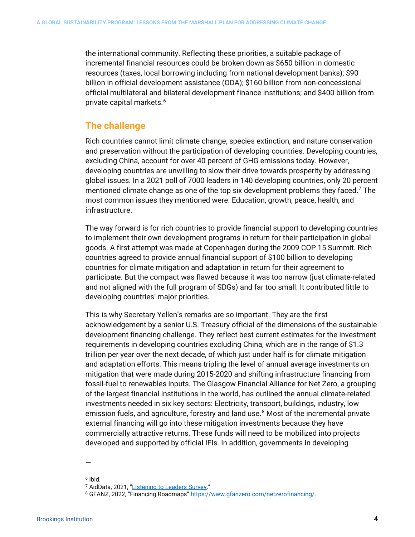the international community. Reflecting these priorities, a suitable package of incremental financial resources could be broken down as \$650 billion in domestic resources (taxes, local borrowing including from national development banks); \$90 billion in official development assistance (ODA); \$160 billion from non-concessional official multilateral and bilateral development finance institutions; and \$400 billion from private capital markets.<sup>[6](#page-4-0)</sup>

### **The challenge**

Rich countries cannot limit climate change, species extinction, and nature conservation and preservation without the participation of developing countries. Developing countries, excluding China, account for over 40 percent of GHG emissions today. However, developing countries are unwilling to slow their drive towards prosperity by addressing global issues. In a 2021 poll of 7000 leaders in 140 developing countries, only 20 percent mentioned climate change as one of the top six development problems they faced.<sup>7</sup> The most common issues they mentioned were: Education, growth, peace, health, and infrastructure.

The way forward is for rich countries to provide financial support to developing countries to implement their own development programs in return for their participation in global goods. A first attempt was made at Copenhagen during the 2009 COP 15 Summit. Rich countries agreed to provide annual financial support of \$100 billion to developing countries for climate mitigation and adaptation in return for their agreement to participate. But the compact was flawed because it was too narrow (just climate-related and not aligned with the full program of SDGs) and far too small. It contributed little to developing countries' major priorities.

This is why Secretary Yellen's remarks are so important. They are the first acknowledgement by a senior U.S. Treasury official of the dimensions of the sustainable development financing challenge. They reflect best current estimates for the investment requirements in developing countries excluding China, which are in the range of \$1.3 trillion per year over the next decade, of which just under half is for climate mitigation and adaptation efforts. This means tripling the level of annual average investments on mitigation that were made during 2015-2020 and shifting infrastructure financing from fossil-fuel to renewables inputs. The Glasgow Financial Alliance for Net Zero, a grouping of the largest financial institutions in the world, has outlined the annual climate-related investments needed in six key sectors: Electricity, transport, buildings, industry, low emission fuels, and agriculture, forestry and land use.<sup>[8](#page-4-2)</sup> Most of the incremental private external financing will go into these mitigation investments because they have commercially attractive returns. These funds will need to be mobilized into projects developed and supported by official IFIs. In addition, governments in developing

<sup>—</sup>

<span id="page-4-0"></span> $6$  Ibid.

<span id="page-4-2"></span><span id="page-4-1"></span><sup>&</sup>lt;sup>7</sup> AidData, 2021, "<u>Listening to Leaders Survey</u>."<br><sup>8</sup> GFANZ, 2022, "Financing Roadmaps[" https://www.gfanzero.com/netzerofinancing/.](https://www.gfanzero.com/netzerofinancing/)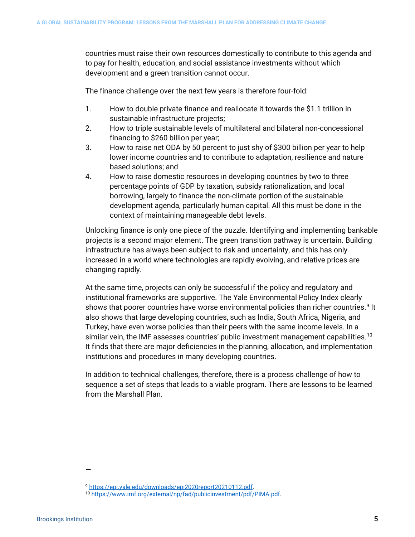countries must raise their own resources domestically to contribute to this agenda and to pay for health, education, and social assistance investments without which development and a green transition cannot occur.

The finance challenge over the next few years is therefore four-fold:

- 1. How to double private finance and reallocate it towards the \$1.1 trillion in sustainable infrastructure projects;
- 2. How to triple sustainable levels of multilateral and bilateral non-concessional financing to \$260 billion per year;
- 3. How to raise net ODA by 50 percent to just shy of \$300 billion per year to help lower income countries and to contribute to adaptation, resilience and nature based solutions; and
- 4. How to raise domestic resources in developing countries by two to three percentage points of GDP by taxation, subsidy rationalization, and local borrowing, largely to finance the non-climate portion of the sustainable development agenda, particularly human capital. All this must be done in the context of maintaining manageable debt levels.

Unlocking finance is only one piece of the puzzle. Identifying and implementing bankable projects is a second major element. The green transition pathway is uncertain. Building infrastructure has always been subject to risk and uncertainty, and this has only increased in a world where technologies are rapidly evolving, and relative prices are changing rapidly.

At the same time, projects can only be successful if the policy and regulatory and institutional frameworks are supportive. The Yale Environmental Policy Index clearly shows that poorer countries have worse environmental policies than richer countries.<sup>[9](#page-5-0)</sup> It also shows that large developing countries, such as India, South Africa, Nigeria, and Turkey, have even worse policies than their peers with the same income levels. In a similar vein, the IMF assesses countries' public investment management capabilities.<sup>[10](#page-5-1)</sup> It finds that there are major deficiencies in the planning, allocation, and implementation institutions and procedures in many developing countries.

In addition to technical challenges, therefore, there is a process challenge of how to sequence a set of steps that leads to a viable program. There are lessons to be learned from the Marshall Plan.

<sup>9</sup> [https://epi.yale.edu/downloads/epi2020report20210112.pdf.](https://epi.yale.edu/downloads/epi2020report20210112.pdf)

<span id="page-5-1"></span><span id="page-5-0"></span><sup>10</sup> [https://www.imf.org/external/np/fad/publicinvestment/pdf/PIMA.pdf.](https://www.imf.org/external/np/fad/publicinvestment/pdf/PIMA.pdf)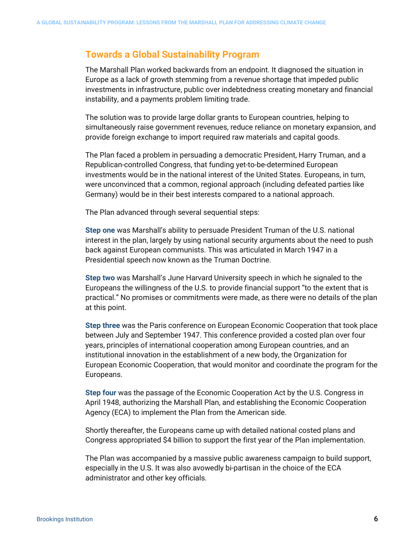### **Towards a Global Sustainability Program**

The Marshall Plan worked backwards from an endpoint. It diagnosed the situation in Europe as a lack of growth stemming from a revenue shortage that impeded public investments in infrastructure, public over indebtedness creating monetary and financial instability, and a payments problem limiting trade.

The solution was to provide large dollar grants to European countries, helping to simultaneously raise government revenues, reduce reliance on monetary expansion, and provide foreign exchange to import required raw materials and capital goods.

The Plan faced a problem in persuading a democratic President, Harry Truman, and a Republican-controlled Congress, that funding yet-to-be-determined European investments would be in the national interest of the United States. Europeans, in turn, were unconvinced that a common, regional approach (including defeated parties like Germany) would be in their best interests compared to a national approach.

The Plan advanced through several sequential steps:

**Step one** was Marshall's ability to persuade President Truman of the U.S. national interest in the plan, largely by using national security arguments about the need to push back against European communists. This was articulated in March 1947 in a Presidential speech now known as the Truman Doctrine.

**Step two** was Marshall's June Harvard University speech in which he signaled to the Europeans the willingness of the U.S. to provide financial support "to the extent that is practical." No promises or commitments were made, as there were no details of the plan at this point.

**Step three** was the Paris conference on European Economic Cooperation that took place between July and September 1947. This conference provided a costed plan over four years, principles of international cooperation among European countries, and an institutional innovation in the establishment of a new body, the Organization for European Economic Cooperation, that would monitor and coordinate the program for the Europeans.

**Step four** was the passage of the Economic Cooperation Act by the U.S. Congress in April 1948, authorizing the Marshall Plan, and establishing the Economic Cooperation Agency (ECA) to implement the Plan from the American side.

Shortly thereafter, the Europeans came up with detailed national costed plans and Congress appropriated \$4 billion to support the first year of the Plan implementation.

The Plan was accompanied by a massive public awareness campaign to build support, especially in the U.S. It was also avowedly bi-partisan in the choice of the ECA administrator and other key officials.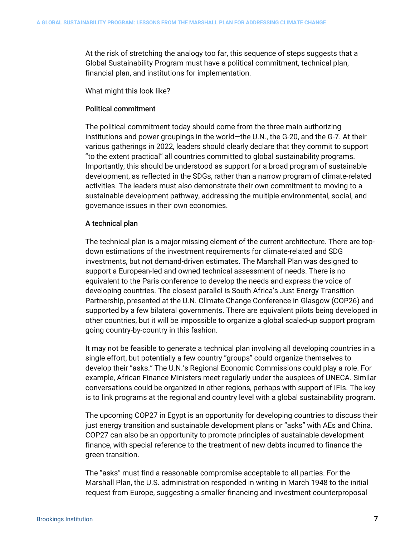At the risk of stretching the analogy too far, this sequence of steps suggests that a Global Sustainability Program must have a political commitment, technical plan, financial plan, and institutions for implementation.

#### What might this look like?

#### Political commitment

The political commitment today should come from the three main authorizing institutions and power groupings in the world—the U.N., the G-20, and the G-7. At their various gatherings in 2022, leaders should clearly declare that they commit to support "to the extent practical" all countries committed to global sustainability programs. Importantly, this should be understood as support for a broad program of sustainable development, as reflected in the SDGs, rather than a narrow program of climate-related activities. The leaders must also demonstrate their own commitment to moving to a sustainable development pathway, addressing the multiple environmental, social, and governance issues in their own economies.

#### A technical plan

The technical plan is a major missing element of the current architecture. There are topdown estimations of the investment requirements for climate-related and SDG investments, but not demand-driven estimates. The Marshall Plan was designed to support a European-led and owned technical assessment of needs. There is no equivalent to the Paris conference to develop the needs and express the voice of developing countries. The closest parallel is South Africa's Just Energy Transition Partnership, presented at the U.N. Climate Change Conference in Glasgow (COP26) and supported by a few bilateral governments. There are equivalent pilots being developed in other countries, but it will be impossible to organize a global scaled-up support program going country-by-country in this fashion.

It may not be feasible to generate a technical plan involving all developing countries in a single effort, but potentially a few country "groups" could organize themselves to develop their "asks." The U.N.'s Regional Economic Commissions could play a role. For example, African Finance Ministers meet regularly under the auspices of UNECA. Similar conversations could be organized in other regions, perhaps with support of IFIs. The key is to link programs at the regional and country level with a global sustainability program.

The upcoming COP27 in Egypt is an opportunity for developing countries to discuss their just energy transition and sustainable development plans or "asks" with AEs and China. COP27 can also be an opportunity to promote principles of sustainable development finance, with special reference to the treatment of new debts incurred to finance the green transition.

The "asks" must find a reasonable compromise acceptable to all parties. For the Marshall Plan, the U.S. administration responded in writing in March 1948 to the initial request from Europe, suggesting a smaller financing and investment counterproposal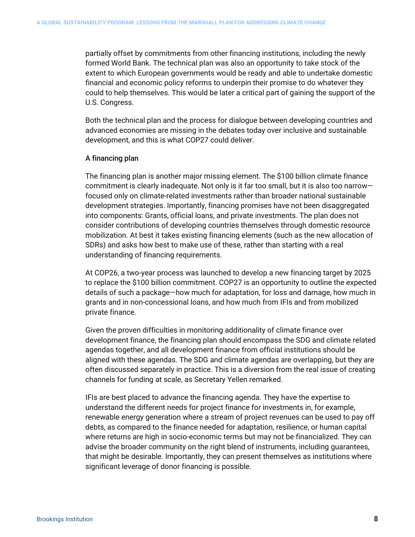partially offset by commitments from other financing institutions, including the newly formed World Bank. The technical plan was also an opportunity to take stock of the extent to which European governments would be ready and able to undertake domestic financial and economic policy reforms to underpin their promise to do whatever they could to help themselves. This would be later a critical part of gaining the support of the U.S. Congress.

Both the technical plan and the process for dialogue between developing countries and advanced economies are missing in the debates today over inclusive and sustainable development, and this is what COP27 could deliver.

#### A financing plan

The financing plan is another major missing element. The \$100 billion climate finance commitment is clearly inadequate. Not only is it far too small, but it is also too narrow focused only on climate-related investments rather than broader national sustainable development strategies. Importantly, financing promises have not been disaggregated into components: Grants, official loans, and private investments. The plan does not consider contributions of developing countries themselves through domestic resource mobilization. At best it takes existing financing elements (such as the new allocation of SDRs) and asks how best to make use of these, rather than starting with a real understanding of financing requirements.

At COP26, a two-year process was launched to develop a new financing target by 2025 to replace the \$100 billion commitment. COP27 is an opportunity to outline the expected details of such a package—how much for adaptation, for loss and damage, how much in grants and in non-concessional loans, and how much from IFIs and from mobilized private finance.

Given the proven difficulties in monitoring additionality of climate finance over development finance, the financing plan should encompass the SDG and climate related agendas together, and all development finance from official institutions should be aligned with these agendas. The SDG and climate agendas are overlapping, but they are often discussed separately in practice. This is a diversion from the real issue of creating channels for funding at scale, as Secretary Yellen remarked.

IFIs are best placed to advance the financing agenda. They have the expertise to understand the different needs for project finance for investments in, for example, renewable energy generation where a stream of project revenues can be used to pay off debts, as compared to the finance needed for adaptation, resilience, or human capital where returns are high in socio-economic terms but may not be financialized. They can advise the broader community on the right blend of instruments, including guarantees, that might be desirable. Importantly, they can present themselves as institutions where significant leverage of donor financing is possible.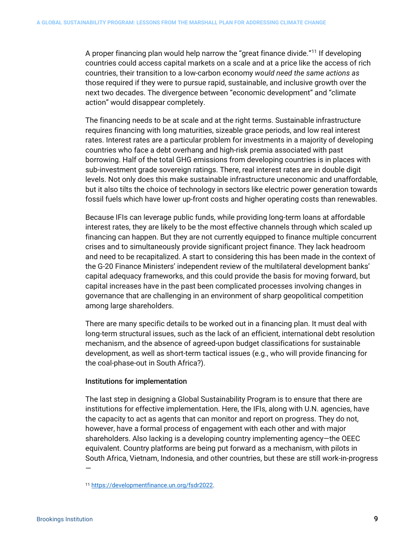A proper financing plan would help narrow the "great finance divide."[11](#page-9-0) If developing countries could access capital markets on a scale and at a price like the access of rich countries, their transition to a low-carbon economy *would need the same actions as*  those required if they were to pursue rapid, sustainable, and inclusive growth over the next two decades. The divergence between "economic development" and "climate action" would disappear completely.

The financing needs to be at scale and at the right terms. Sustainable infrastructure requires financing with long maturities, sizeable grace periods, and low real interest rates. Interest rates are a particular problem for investments in a majority of developing countries who face a debt overhang and high-risk premia associated with past borrowing. Half of the total GHG emissions from developing countries is in places with sub-investment grade sovereign ratings. There, real interest rates are in double digit levels. Not only does this make sustainable infrastructure uneconomic and unaffordable, but it also tilts the choice of technology in sectors like electric power generation towards fossil fuels which have lower up-front costs and higher operating costs than renewables.

Because IFIs can leverage public funds, while providing long-term loans at affordable interest rates, they are likely to be the most effective channels through which scaled up financing can happen. But they are not currently equipped to finance multiple concurrent crises and to simultaneously provide significant project finance. They lack headroom and need to be recapitalized. A start to considering this has been made in the context of the G-20 Finance Ministers' independent review of the multilateral development banks' capital adequacy frameworks, and this could provide the basis for moving forward, but capital increases have in the past been complicated processes involving changes in governance that are challenging in an environment of sharp geopolitical competition among large shareholders.

There are many specific details to be worked out in a financing plan. It must deal with long-term structural issues, such as the lack of an efficient, international debt resolution mechanism, and the absence of agreed-upon budget classifications for sustainable development, as well as short-term tactical issues (e.g., who will provide financing for the coal-phase-out in South Africa?).

#### Institutions for implementation

The last step in designing a Global Sustainability Program is to ensure that there are institutions for effective implementation. Here, the IFIs, along with U.N. agencies, have the capacity to act as agents that can monitor and report on progress. They do not, however, have a formal process of engagement with each other and with major shareholders. Also lacking is a developing country implementing agency—the OEEC equivalent. Country platforms are being put forward as a mechanism, with pilots in South Africa, Vietnam, Indonesia, and other countries, but these are still work-in-progress —

<span id="page-9-0"></span><sup>11</sup> [https://developmentfinance.un.org/fsdr2022.](https://developmentfinance.un.org/fsdr2022)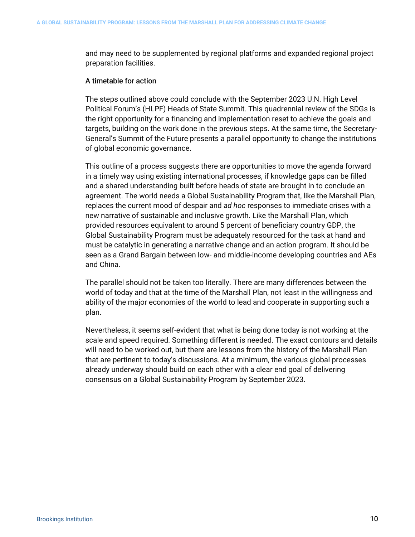and may need to be supplemented by regional platforms and expanded regional project preparation facilities.

#### A timetable for action

The steps outlined above could conclude with the September 2023 U.N. High Level Political Forum's (HLPF) Heads of State Summit. This quadrennial review of the SDGs is the right opportunity for a financing and implementation reset to achieve the goals and targets, building on the work done in the previous steps. At the same time, the Secretary-General's Summit of the Future presents a parallel opportunity to change the institutions of global economic governance.

This outline of a process suggests there are opportunities to move the agenda forward in a timely way using existing international processes, if knowledge gaps can be filled and a shared understanding built before heads of state are brought in to conclude an agreement. The world needs a Global Sustainability Program that, like the Marshall Plan, replaces the current mood of despair and *ad hoc* responses to immediate crises with a new narrative of sustainable and inclusive growth. Like the Marshall Plan, which provided resources equivalent to around 5 percent of beneficiary country GDP, the Global Sustainability Program must be adequately resourced for the task at hand and must be catalytic in generating a narrative change and an action program. It should be seen as a Grand Bargain between low- and middle-income developing countries and AEs and China.

The parallel should not be taken too literally. There are many differences between the world of today and that at the time of the Marshall Plan, not least in the willingness and ability of the major economies of the world to lead and cooperate in supporting such a plan.

Nevertheless, it seems self-evident that what is being done today is not working at the scale and speed required. Something different is needed. The exact contours and details will need to be worked out, but there are lessons from the history of the Marshall Plan that are pertinent to today's discussions. At a minimum, the various global processes already underway should build on each other with a clear end goal of delivering consensus on a Global Sustainability Program by September 2023.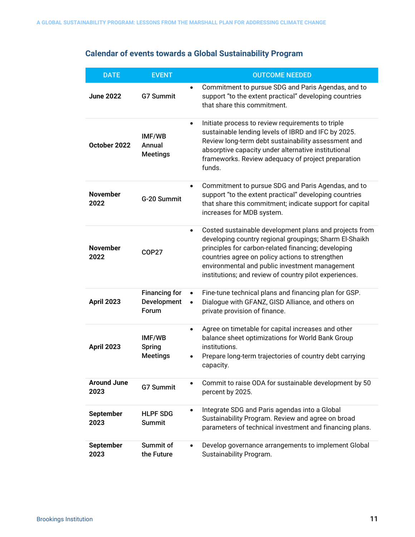# **Calendar of events towards a Global Sustainability Program**

| <b>DATE</b>                | <b>EVENT</b>                                 | <b>OUTCOME NEEDED</b>                                                                                                                                                                                                                                                                                                                               |  |  |
|----------------------------|----------------------------------------------|-----------------------------------------------------------------------------------------------------------------------------------------------------------------------------------------------------------------------------------------------------------------------------------------------------------------------------------------------------|--|--|
| <b>June 2022</b>           | <b>G7 Summit</b>                             | Commitment to pursue SDG and Paris Agendas, and to<br>$\bullet$<br>support "to the extent practical" developing countries<br>that share this commitment.                                                                                                                                                                                            |  |  |
| October 2022               | IMF/WB<br>Annual<br><b>Meetings</b>          | Initiate process to review requirements to triple<br>$\bullet$<br>sustainable lending levels of IBRD and IFC by 2025.<br>Review long-term debt sustainability assessment and<br>absorptive capacity under alternative institutional<br>frameworks. Review adequacy of project preparation<br>funds.                                                 |  |  |
| <b>November</b><br>2022    | G-20 Summit                                  | Commitment to pursue SDG and Paris Agendas, and to<br>$\bullet$<br>support "to the extent practical" developing countries<br>that share this commitment; indicate support for capital<br>increases for MDB system.                                                                                                                                  |  |  |
| <b>November</b><br>2022    | <b>COP27</b>                                 | Costed sustainable development plans and projects from<br>$\bullet$<br>developing country regional groupings; Sharm El-Shaikh<br>principles for carbon-related financing; developing<br>countries agree on policy actions to strengthen<br>environmental and public investment management<br>institutions; and review of country pilot experiences. |  |  |
| <b>April 2023</b>          | <b>Financing for</b><br>Development<br>Forum | Fine-tune technical plans and financing plan for GSP.<br>$\bullet$<br>Dialogue with GFANZ, GISD Alliance, and others on<br>private provision of finance.                                                                                                                                                                                            |  |  |
| <b>April 2023</b>          | IMF/WB<br><b>Spring</b><br><b>Meetings</b>   | Agree on timetable for capital increases and other<br>$\bullet$<br>balance sheet optimizations for World Bank Group<br>institutions.<br>Prepare long-term trajectories of country debt carrying<br>capacity.                                                                                                                                        |  |  |
| <b>Around June</b><br>2023 | <b>G7 Summit</b>                             | Commit to raise ODA for sustainable development by 50<br>percent by 2025.                                                                                                                                                                                                                                                                           |  |  |
| September<br>2023          | <b>HLPF SDG</b><br><b>Summit</b>             | Integrate SDG and Paris agendas into a Global<br>$\bullet$<br>Sustainability Program. Review and agree on broad<br>parameters of technical investment and financing plans.                                                                                                                                                                          |  |  |
| <b>September</b><br>2023   | Summit of<br>the Future                      | Develop governance arrangements to implement Global<br>$\bullet$<br>Sustainability Program.                                                                                                                                                                                                                                                         |  |  |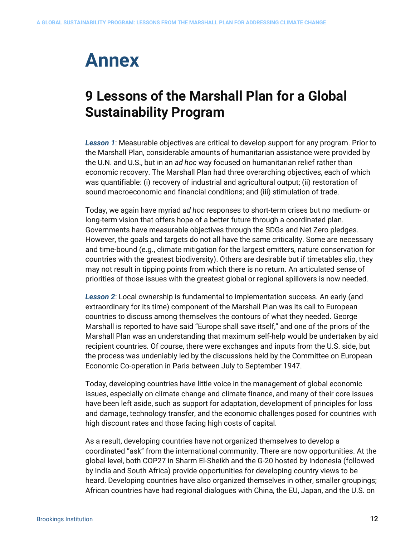# **Annex**

# **9 Lessons of the Marshall Plan for a Global Sustainability Program**

*Lesson 1*: Measurable objectives are critical to develop support for any program. Prior to the Marshall Plan, considerable amounts of humanitarian assistance were provided by the U.N. and U.S., but in an *ad hoc* way focused on humanitarian relief rather than economic recovery. The Marshall Plan had three overarching objectives, each of which was quantifiable: (i) recovery of industrial and agricultural output; (ii) restoration of sound macroeconomic and financial conditions; and (iii) stimulation of trade.

Today, we again have myriad *ad hoc* responses to short-term crises but no medium- or long-term vision that offers hope of a better future through a coordinated plan. Governments have measurable objectives through the SDGs and Net Zero pledges. However, the goals and targets do not all have the same criticality. Some are necessary and time-bound (e.g., climate mitigation for the largest emitters, nature conservation for countries with the greatest biodiversity). Others are desirable but if timetables slip, they may not result in tipping points from which there is no return. An articulated sense of priorities of those issues with the greatest global or regional spillovers is now needed.

*Lesson 2*: Local ownership is fundamental to implementation success. An early (and extraordinary for its time) component of the Marshall Plan was its call to European countries to discuss among themselves the contours of what they needed. George Marshall is reported to have said "Europe shall save itself," and one of the priors of the Marshall Plan was an understanding that maximum self-help would be undertaken by aid recipient countries. Of course, there were exchanges and inputs from the U.S. side, but the process was undeniably led by the discussions held by the Committee on European Economic Co-operation in Paris between July to September 1947.

Today, developing countries have little voice in the management of global economic issues, especially on climate change and climate finance, and many of their core issues have been left aside, such as support for adaptation, development of principles for loss and damage, technology transfer, and the economic challenges posed for countries with high discount rates and those facing high costs of capital.

As a result, developing countries have not organized themselves to develop a coordinated "ask" from the international community. There are now opportunities. At the global level, both COP27 in Sharm El-Sheikh and the G-20 hosted by Indonesia (followed by India and South Africa) provide opportunities for developing country views to be heard. Developing countries have also organized themselves in other, smaller groupings; African countries have had regional dialogues with China, the EU, Japan, and the U.S. on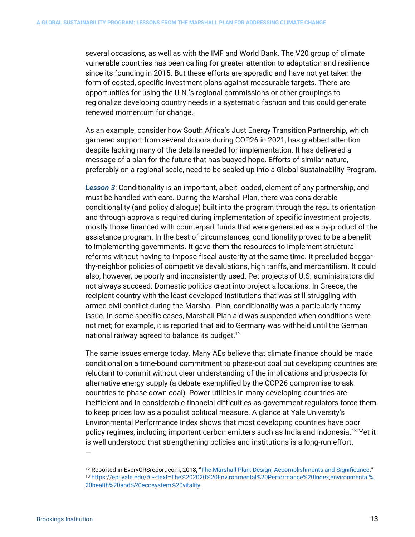several occasions, as well as with the IMF and World Bank. The V20 group of climate vulnerable countries has been calling for greater attention to adaptation and resilience since its founding in 2015. But these efforts are sporadic and have not yet taken the form of costed, specific investment plans against measurable targets. There are opportunities for using the U.N.'s regional commissions or other groupings to regionalize developing country needs in a systematic fashion and this could generate renewed momentum for change.

As an example, consider how South Africa's Just Energy Transition Partnership, which garnered support from several donors during COP26 in 2021, has grabbed attention despite lacking many of the details needed for implementation. It has delivered a message of a plan for the future that has buoyed hope. Efforts of similar nature, preferably on a regional scale, need to be scaled up into a Global Sustainability Program.

*Lesson 3*: Conditionality is an important, albeit loaded, element of any partnership, and must be handled with care. During the Marshall Plan, there was considerable conditionality (and policy dialogue) built into the program through the results orientation and through approvals required during implementation of specific investment projects, mostly those financed with counterpart funds that were generated as a by-product of the assistance program. In the best of circumstances, conditionality proved to be a benefit to implementing governments. It gave them the resources to implement structural reforms without having to impose fiscal austerity at the same time. It precluded beggarthy-neighbor policies of competitive devaluations, high tariffs, and mercantilism. It could also, however, be poorly and inconsistently used. Pet projects of U.S. administrators did not always succeed. Domestic politics crept into project allocations. In Greece, the recipient country with the least developed institutions that was still struggling with armed civil conflict during the Marshall Plan, conditionality was a particularly thorny issue. In some specific cases, Marshall Plan aid was suspended when conditions were not met; for example, it is reported that aid to Germany was withheld until the German national railway agreed to balance its budget.<sup>[12](#page-13-0)</sup>

The same issues emerge today. Many AEs believe that climate finance should be made conditional on a time-bound commitment to phase-out coal but developing countries are reluctant to commit without clear understanding of the implications and prospects for alternative energy supply (a debate exemplified by the COP26 compromise to ask countries to phase down coal). Power utilities in many developing countries are inefficient and in considerable financial difficulties as government regulators force them to keep prices low as a populist political measure. A glance at Yale University's Environmental Performance Index shows that most developing countries have poor policy regimes, including important carbon emitters such as India and Indonesia.<sup>[13](#page-13-1)</sup> Yet it is well understood that strengthening policies and institutions is a long-run effort.

<span id="page-13-1"></span><span id="page-13-0"></span><sup>&</sup>lt;sup>12</sup> Reported in EveryCRSreport.com, 2018, ["The Marshall Plan: Design, Accomplishments and Significance."](https://www.everycrsreport.com/reports/R45079.html#_Toc504143891) <sup>13</sup> [https://epi.yale.edu/#:~:text=The%202020%20Environmental%20Performance%20Index,environmental%](https://epi.yale.edu/#:%7E:text=The%202020%20Environmental%20Performance%20Index,environmental%25%2020health%20and%20ecosystem%20vitality)  [20health%20and%20ecosystem%20vitality.](https://epi.yale.edu/#:%7E:text=The%202020%20Environmental%20Performance%20Index,environmental%25%2020health%20and%20ecosystem%20vitality)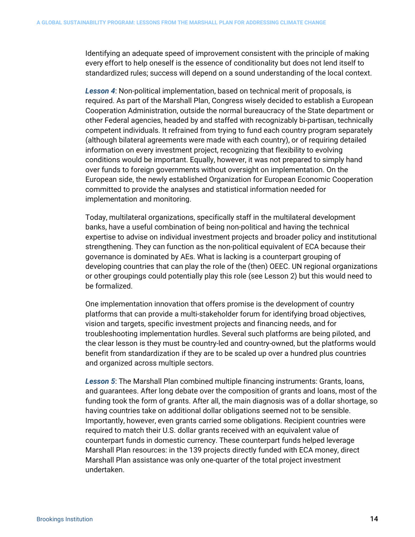Identifying an adequate speed of improvement consistent with the principle of making every effort to help oneself is the essence of conditionality but does not lend itself to standardized rules; success will depend on a sound understanding of the local context.

*Lesson 4*: Non-political implementation, based on technical merit of proposals, is required. As part of the Marshall Plan, Congress wisely decided to establish a European Cooperation Administration, outside the normal bureaucracy of the State department or other Federal agencies, headed by and staffed with recognizably bi-partisan, technically competent individuals. It refrained from trying to fund each country program separately (although bilateral agreements were made with each country), or of requiring detailed information on every investment project, recognizing that flexibility to evolving conditions would be important. Equally, however, it was not prepared to simply hand over funds to foreign governments without oversight on implementation. On the European side, the newly established Organization for European Economic Cooperation committed to provide the analyses and statistical information needed for implementation and monitoring.

Today, multilateral organizations, specifically staff in the multilateral development banks, have a useful combination of being non-political and having the technical expertise to advise on individual investment projects and broader policy and institutional strengthening. They can function as the non-political equivalent of ECA because their governance is dominated by AEs. What is lacking is a counterpart grouping of developing countries that can play the role of the (then) OEEC. UN regional organizations or other groupings could potentially play this role (see Lesson 2) but this would need to be formalized.

One implementation innovation that offers promise is the development of country platforms that can provide a multi-stakeholder forum for identifying broad objectives, vision and targets, specific investment projects and financing needs, and for troubleshooting implementation hurdles. Several such platforms are being piloted, and the clear lesson is they must be country-led and country-owned, but the platforms would benefit from standardization if they are to be scaled up over a hundred plus countries and organized across multiple sectors.

*Lesson 5*: The Marshall Plan combined multiple financing instruments: Grants, loans, and guarantees. After long debate over the composition of grants and loans, most of the funding took the form of grants. After all, the main diagnosis was of a dollar shortage, so having countries take on additional dollar obligations seemed not to be sensible. Importantly, however, even grants carried some obligations. Recipient countries were required to match their U.S. dollar grants received with an equivalent value of counterpart funds in domestic currency. These counterpart funds helped leverage Marshall Plan resources: in the 139 projects directly funded with ECA money, direct Marshall Plan assistance was only one-quarter of the total project investment undertaken.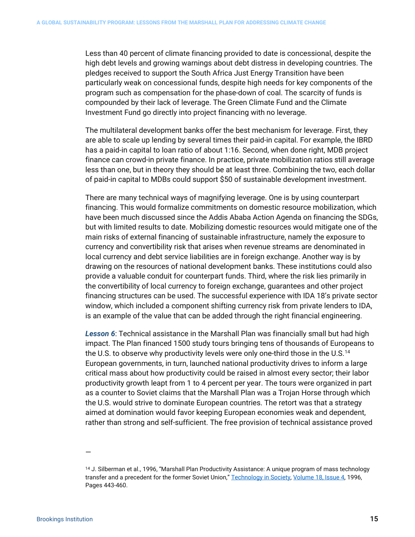Less than 40 percent of climate financing provided to date is concessional, despite the high debt levels and growing warnings about debt distress in developing countries. The pledges received to support the South Africa Just Energy Transition have been particularly weak on concessional funds, despite high needs for key components of the program such as compensation for the phase-down of coal. The scarcity of funds is compounded by their lack of leverage. The Green Climate Fund and the Climate Investment Fund go directly into project financing with no leverage.

The multilateral development banks offer the best mechanism for leverage. First, they are able to scale up lending by several times their paid-in capital. For example, the IBRD has a paid-in capital to loan ratio of about 1:16. Second, when done right, MDB project finance can crowd-in private finance. In practice, private mobilization ratios still average less than one, but in theory they should be at least three. Combining the two, each dollar of paid-in capital to MDBs could support \$50 of sustainable development investment.

There are many technical ways of magnifying leverage. One is by using counterpart financing. This would formalize commitments on domestic resource mobilization, which have been much discussed since the Addis Ababa Action Agenda on financing the SDGs, but with limited results to date. Mobilizing domestic resources would mitigate one of the main risks of external financing of sustainable infrastructure, namely the exposure to currency and convertibility risk that arises when revenue streams are denominated in local currency and debt service liabilities are in foreign exchange. Another way is by drawing on the resources of national development banks. These institutions could also provide a valuable conduit for counterpart funds. Third, where the risk lies primarily in the convertibility of local currency to foreign exchange, guarantees and other project financing structures can be used. The successful experience with IDA 18's private sector window, which included a component shifting currency risk from private lenders to IDA, is an example of the value that can be added through the right financial engineering.

*Lesson 6*: Technical assistance in the Marshall Plan was financially small but had high impact. The Plan financed 1500 study tours bringing tens of thousands of Europeans to the U.S. to observe why productivity levels were only one-third those in the U.S.[14](#page-15-0) European governments, in turn, launched national productivity drives to inform a large critical mass about how productivity could be raised in almost every sector; their labor productivity growth leapt from 1 to 4 percent per year. The tours were organized in part as a counter to Soviet claims that the Marshall Plan was a Trojan Horse through which the U.S. would strive to dominate European countries. The retort was that a strategy aimed at domination would favor keeping European economies weak and dependent, rather than strong and self-sufficient. The free provision of technical assistance proved

<sup>—</sup>

<span id="page-15-0"></span><sup>&</sup>lt;sup>14</sup> J. Silberman et al., 1996, "Marshall Plan Productivity Assistance: A unique program of mass technology transfer and a precedent for the former Soviet Union," [Technology in Society,](https://www.sciencedirect.com/journal/technology-in-society) [Volume 18, Issue 4,](https://www.sciencedirect.com/journal/technology-in-society/vol/18/issue/4) 1996, Pages 443-460.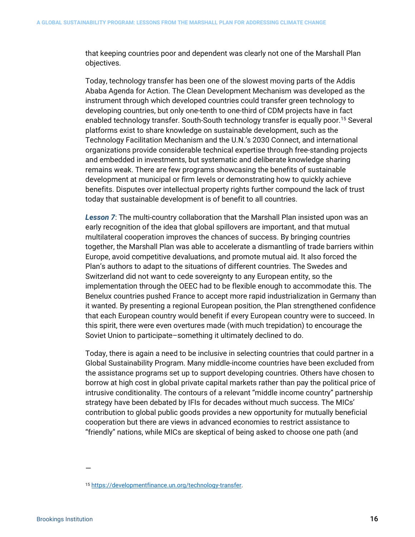that keeping countries poor and dependent was clearly not one of the Marshall Plan objectives.

Today, technology transfer has been one of the slowest moving parts of the Addis Ababa Agenda for Action. The Clean Development Mechanism was developed as the instrument through which developed countries could transfer green technology to developing countries, but only one-tenth to one-third of CDM projects have in fact enabled technology transfer. South-South technology transfer is equally poor.[15](#page-16-0) Several platforms exist to share knowledge on sustainable development, such as the Technology Facilitation Mechanism and the U.N.'s 2030 Connect, and international organizations provide considerable technical expertise through free-standing projects and embedded in investments, but systematic and deliberate knowledge sharing remains weak. There are few programs showcasing the benefits of sustainable development at municipal or firm levels or demonstrating how to quickly achieve benefits. Disputes over intellectual property rights further compound the lack of trust today that sustainable development is of benefit to all countries.

*Lesson 7*: The multi-country collaboration that the Marshall Plan insisted upon was an early recognition of the idea that global spillovers are important, and that mutual multilateral cooperation improves the chances of success. By bringing countries together, the Marshall Plan was able to accelerate a dismantling of trade barriers within Europe, avoid competitive devaluations, and promote mutual aid. It also forced the Plan's authors to adapt to the situations of different countries. The Swedes and Switzerland did not want to cede sovereignty to any European entity, so the implementation through the OEEC had to be flexible enough to accommodate this. The Benelux countries pushed France to accept more rapid industrialization in Germany than it wanted. By presenting a regional European position, the Plan strengthened confidence that each European country would benefit if every European country were to succeed. In this spirit, there were even overtures made (with much trepidation) to encourage the Soviet Union to participate–something it ultimately declined to do.

Today, there is again a need to be inclusive in selecting countries that could partner in a Global Sustainability Program. Many middle-income countries have been excluded from the assistance programs set up to support developing countries. Others have chosen to borrow at high cost in global private capital markets rather than pay the political price of intrusive conditionality. The contours of a relevant "middle income country" partnership strategy have been debated by IFIs for decades without much success. The MICs' contribution to global public goods provides a new opportunity for mutually beneficial cooperation but there are views in advanced economies to restrict assistance to "friendly" nations, while MICs are skeptical of being asked to choose one path (and

<span id="page-16-0"></span><sup>15</sup> [https://developmentfinance.un.org/technology-transfer.](https://developmentfinance.un.org/technology-transfer)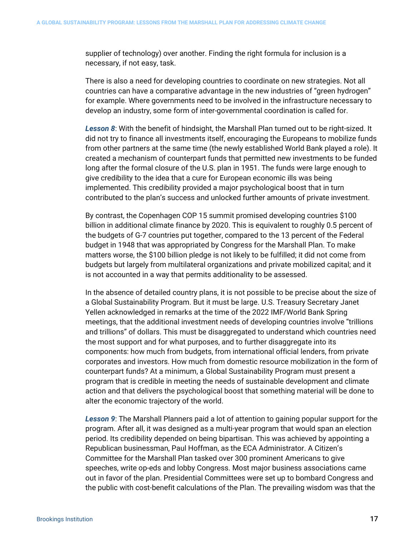supplier of technology) over another. Finding the right formula for inclusion is a necessary, if not easy, task.

There is also a need for developing countries to coordinate on new strategies. Not all countries can have a comparative advantage in the new industries of "green hydrogen" for example. Where governments need to be involved in the infrastructure necessary to develop an industry, some form of inter-governmental coordination is called for.

*Lesson 8*: With the benefit of hindsight, the Marshall Plan turned out to be right-sized. It did not try to finance all investments itself, encouraging the Europeans to mobilize funds from other partners at the same time (the newly established World Bank played a role). It created a mechanism of counterpart funds that permitted new investments to be funded long after the formal closure of the U.S. plan in 1951. The funds were large enough to give credibility to the idea that a cure for European economic ills was being implemented. This credibility provided a major psychological boost that in turn contributed to the plan's success and unlocked further amounts of private investment.

By contrast, the Copenhagen COP 15 summit promised developing countries \$100 billion in additional climate finance by 2020. This is equivalent to roughly 0.5 percent of the budgets of G-7 countries put together, compared to the 13 percent of the Federal budget in 1948 that was appropriated by Congress for the Marshall Plan. To make matters worse, the \$100 billion pledge is not likely to be fulfilled; it did not come from budgets but largely from multilateral organizations and private mobilized capital; and it is not accounted in a way that permits additionality to be assessed.

In the absence of detailed country plans, it is not possible to be precise about the size of a Global Sustainability Program. But it must be large. U.S. Treasury Secretary Janet Yellen acknowledged in remarks at the time of the 2022 IMF/World Bank Spring meetings, that the additional investment needs of developing countries involve "trillions and trillions" of dollars. This must be disaggregated to understand which countries need the most support and for what purposes, and to further disaggregate into its components: how much from budgets, from international official lenders, from private corporates and investors. How much from domestic resource mobilization in the form of counterpart funds? At a minimum, a Global Sustainability Program must present a program that is credible in meeting the needs of sustainable development and climate action and that delivers the psychological boost that something material will be done to alter the economic trajectory of the world.

*Lesson 9*: The Marshall Planners paid a lot of attention to gaining popular support for the program. After all, it was designed as a multi-year program that would span an election period. Its credibility depended on being bipartisan. This was achieved by appointing a Republican businessman, Paul Hoffman, as the ECA Administrator. A Citizen's Committee for the Marshall Plan tasked over 300 prominent Americans to give speeches, write op-eds and lobby Congress. Most major business associations came out in favor of the plan. Presidential Committees were set up to bombard Congress and the public with cost-benefit calculations of the Plan. The prevailing wisdom was that the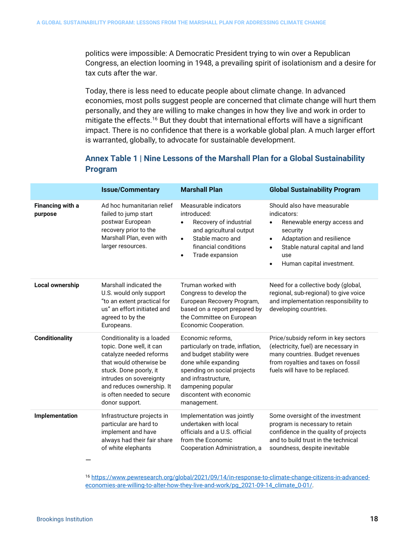politics were impossible: A Democratic President trying to win over a Republican Congress, an election looming in 1948, a prevailing spirit of isolationism and a desire for tax cuts after the war.

Today, there is less need to educate people about climate change. In advanced economies, most polls suggest people are concerned that climate change will hurt them personally, and they are willing to make changes in how they live and work in order to mitigate the effects.<sup>[16](#page-18-0)</sup> But they doubt that international efforts will have a significant impact. There is no confidence that there is a workable global plan. A much larger effort is warranted, globally, to advocate for sustainable development.

### **Annex Table 1 | Nine Lessons of the Marshall Plan for a Global Sustainability Program**

|                             | <b>Issue/Commentary</b>                                                                                                                                                                                                                       | <b>Marshall Plan</b>                                                                                                                                                                                                              | <b>Global Sustainability Program</b>                                                                                                                                                                                                          |
|-----------------------------|-----------------------------------------------------------------------------------------------------------------------------------------------------------------------------------------------------------------------------------------------|-----------------------------------------------------------------------------------------------------------------------------------------------------------------------------------------------------------------------------------|-----------------------------------------------------------------------------------------------------------------------------------------------------------------------------------------------------------------------------------------------|
| Financing with a<br>purpose | Ad hoc humanitarian relief<br>failed to jump start<br>postwar European<br>recovery prior to the<br>Marshall Plan, even with<br>larger resources.                                                                                              | Measurable indicators<br>introduced:<br>Recovery of industrial<br>$\bullet$<br>and agricultural output<br>Stable macro and<br>$\bullet$<br>financial conditions<br>Trade expansion<br>$\bullet$                                   | Should also have measurable<br>indicators:<br>Renewable energy access and<br>$\bullet$<br>security<br>Adaptation and resilience<br>$\bullet$<br>Stable natural capital and land<br>$\bullet$<br>use<br>Human capital investment.<br>$\bullet$ |
| <b>Local ownership</b>      | Marshall indicated the<br>U.S. would only support<br>"to an extent practical for<br>us" an effort initiated and<br>agreed to by the<br>Europeans.                                                                                             | Truman worked with<br>Congress to develop the<br>European Recovery Program,<br>based on a report prepared by<br>the Committee on European<br>Economic Cooperation.                                                                | Need for a collective body (global,<br>regional, sub-regional) to give voice<br>and implementation responsibility to<br>developing countries.                                                                                                 |
| <b>Conditionality</b>       | Conditionality is a loaded<br>topic. Done well, it can<br>catalyze needed reforms<br>that would otherwise be<br>stuck. Done poorly, it<br>intrudes on sovereignty<br>and reduces ownership. It<br>is often needed to secure<br>donor support. | Economic reforms,<br>particularly on trade, inflation,<br>and budget stability were<br>done while expanding<br>spending on social projects<br>and infrastructure,<br>dampening popular<br>discontent with economic<br>management. | Price/subsidy reform in key sectors<br>(electricity, fuel) are necessary in<br>many countries. Budget revenues<br>from royalties and taxes on fossil<br>fuels will have to be replaced.                                                       |
| Implementation              | Infrastructure projects in<br>particular are hard to<br>implement and have<br>always had their fair share<br>of white elephants                                                                                                               | Implementation was jointly<br>undertaken with local<br>officials and a U.S. official<br>from the Economic<br>Cooperation Administration, a                                                                                        | Some oversight of the investment<br>program is necessary to retain<br>confidence in the quality of projects<br>and to build trust in the technical<br>soundness, despite inevitable                                                           |

<span id="page-18-0"></span><sup>16</sup> [https://www.pewresearch.org/global/2021/09/14/in-response-to-climate-change-citizens-in-advanced](https://www.pewresearch.org/global/2021/09/14/in-response-to-climate-change-citizens-in-advanced-economies-are-willing-to-alter-how-they-live-and-work/pg_2021-09-14_climate_0-01/)[economies-are-willing-to-alter-how-they-live-and-work/pg\\_2021-09-14\\_climate\\_0-01/.](https://www.pewresearch.org/global/2021/09/14/in-response-to-climate-change-citizens-in-advanced-economies-are-willing-to-alter-how-they-live-and-work/pg_2021-09-14_climate_0-01/)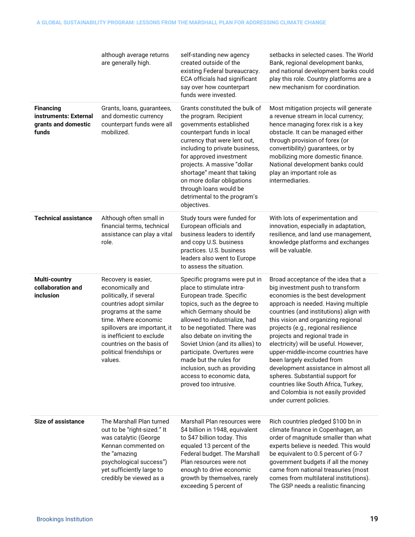|                                                                           | although average returns<br>are generally high.                                                                                                                                                                                                                                | self-standing new agency<br>created outside of the<br>existing Federal bureaucracy.<br>ECA officials had significant<br>say over how counterpart<br>funds were invested.                                                                                                                                                                                                                                                            | setbacks in selected cases. The World<br>Bank, regional development banks,<br>and national development banks could<br>play this role. Country platforms are a<br>new mechanism for coordination.                                                                                                                                                                                                                                                                                                                                                                                                                  |
|---------------------------------------------------------------------------|--------------------------------------------------------------------------------------------------------------------------------------------------------------------------------------------------------------------------------------------------------------------------------|-------------------------------------------------------------------------------------------------------------------------------------------------------------------------------------------------------------------------------------------------------------------------------------------------------------------------------------------------------------------------------------------------------------------------------------|-------------------------------------------------------------------------------------------------------------------------------------------------------------------------------------------------------------------------------------------------------------------------------------------------------------------------------------------------------------------------------------------------------------------------------------------------------------------------------------------------------------------------------------------------------------------------------------------------------------------|
| <b>Financing</b><br>instruments: External<br>grants and domestic<br>funds | Grants, loans, guarantees,<br>and domestic currency<br>counterpart funds were all<br>mobilized.                                                                                                                                                                                | Grants constituted the bulk of<br>the program. Recipient<br>governments established<br>counterpart funds in local<br>currency that were lent out,<br>including to private business,<br>for approved investment<br>projects. A massive "dollar<br>shortage" meant that taking<br>on more dollar obligations<br>through loans would be<br>detrimental to the program's<br>objectives.                                                 | Most mitigation projects will generate<br>a revenue stream in local currency;<br>hence managing forex risk is a key<br>obstacle. It can be managed either<br>through provision of forex (or<br>convertibility) guarantees, or by<br>mobilizing more domestic finance.<br>National development banks could<br>play an important role as<br>intermediaries.                                                                                                                                                                                                                                                         |
| <b>Technical assistance</b>                                               | Although often small in<br>financial terms, technical<br>assistance can play a vital<br>role.                                                                                                                                                                                  | Study tours were funded for<br>European officials and<br>business leaders to identify<br>and copy U.S. business<br>practices. U.S. business<br>leaders also went to Europe<br>to assess the situation.                                                                                                                                                                                                                              | With lots of experimentation and<br>innovation, especially in adaptation,<br>resilience, and land use management,<br>knowledge platforms and exchanges<br>will be valuable.                                                                                                                                                                                                                                                                                                                                                                                                                                       |
| Multi-country<br>collaboration and<br><b>inclusion</b>                    | Recovery is easier,<br>economically and<br>politically, if several<br>countries adopt similar<br>programs at the same<br>time. Where economic<br>spillovers are important, it<br>is inefficient to exclude<br>countries on the basis of<br>political friendships or<br>values. | Specific programs were put in<br>place to stimulate intra-<br>European trade. Specific<br>topics, such as the degree to<br>which Germany should be<br>allowed to industrialize, had<br>to be negotiated. There was<br>also debate on inviting the<br>Soviet Union (and its allies) to<br>participate. Overtures were<br>made but the rules for<br>inclusion, such as providing<br>access to economic data,<br>proved too intrusive. | Broad acceptance of the idea that a<br>big investment push to transform<br>economies is the best development<br>approach is needed. Having multiple<br>countries (and institutions) align with<br>this vision and organizing regional<br>projects (e.g., regional resilience<br>projects and regional trade in<br>electricity) will be useful. However,<br>upper-middle-income countries have<br>been largely excluded from<br>development assistance in almost all<br>spheres. Substantial support for<br>countries like South Africa, Turkey,<br>and Colombia is not easily provided<br>under current policies. |
| <b>Size of assistance</b>                                                 | The Marshall Plan turned<br>out to be "right-sized." It<br>was catalytic (George<br>Kennan commented on<br>the "amazing<br>psychological success")<br>yet sufficiently large to<br>credibly be viewed as a                                                                     | Marshall Plan resources were<br>\$4 billion in 1948, equivalent<br>to \$47 billion today. This<br>equaled 13 percent of the<br>Federal budget. The Marshall<br>Plan resources were not<br>enough to drive economic<br>growth by themselves, rarely<br>exceeding 5 percent of                                                                                                                                                        | Rich countries pledged \$100 bn in<br>climate finance in Copenhagen, an<br>order of magnitude smaller than what<br>experts believe is needed. This would<br>be equivalent to 0.5 percent of G-7<br>government budgets if all the money<br>came from national treasuries (most<br>comes from multilateral institutions).<br>The GSP needs a realistic financing                                                                                                                                                                                                                                                    |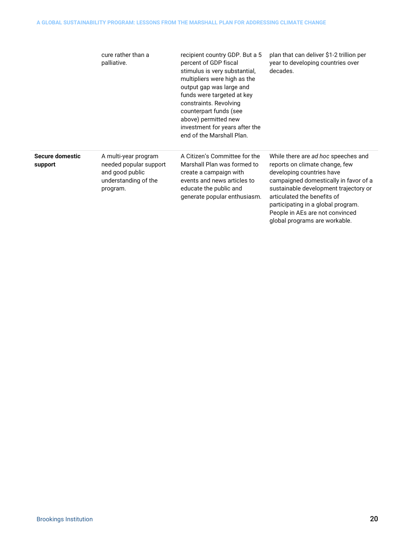|                            | cure rather than a<br>palliative.                                                                     | recipient country GDP. But a 5<br>percent of GDP fiscal<br>stimulus is very substantial,<br>multipliers were high as the<br>output gap was large and<br>funds were targeted at key<br>constraints. Revolving<br>counterpart funds (see<br>above) permitted new<br>investment for years after the<br>end of the Marshall Plan. | plan that can deliver \$1-2 trillion per<br>year to developing countries over<br>decades.                                                                                                                                                                                                                                     |
|----------------------------|-------------------------------------------------------------------------------------------------------|-------------------------------------------------------------------------------------------------------------------------------------------------------------------------------------------------------------------------------------------------------------------------------------------------------------------------------|-------------------------------------------------------------------------------------------------------------------------------------------------------------------------------------------------------------------------------------------------------------------------------------------------------------------------------|
| Secure domestic<br>support | A multi-year program<br>needed popular support<br>and good public<br>understanding of the<br>program. | A Citizen's Committee for the<br>Marshall Plan was formed to<br>create a campaign with<br>events and news articles to<br>educate the public and<br>generate popular enthusiasm.                                                                                                                                               | While there are ad hoc speeches and<br>reports on climate change, few<br>developing countries have<br>campaigned domestically in favor of a<br>sustainable development trajectory or<br>articulated the benefits of<br>participating in a global program.<br>People in AEs are not convinced<br>global programs are workable. |